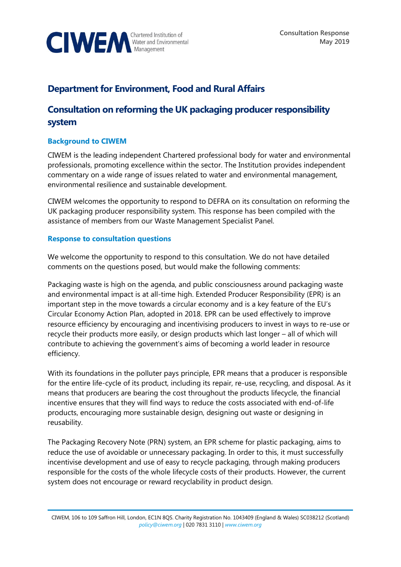

## **Department for Environment, Food and Rural Affairs**

# **Consultation on reforming the UK packaging producer responsibility system**

### **Background to CIWEM**

CIWEM is the leading independent Chartered professional body for water and environmental professionals, promoting excellence within the sector. The Institution provides independent commentary on a wide range of issues related to water and environmental management, environmental resilience and sustainable development.

CIWEM welcomes the opportunity to respond to DEFRA on its consultation on reforming the UK packaging producer responsibility system. This response has been compiled with the assistance of members from our Waste Management Specialist Panel.

#### **Response to consultation questions**

We welcome the opportunity to respond to this consultation. We do not have detailed comments on the questions posed, but would make the following comments:

Packaging waste is high on the agenda, and public consciousness around packaging waste and environmental impact is at all-time high. Extended Producer Responsibility (EPR) is an important step in the move towards a circular economy and is a key feature of the EU's Circular Economy Action Plan, adopted in 2018. EPR can be used effectively to improve resource efficiency by encouraging and incentivising producers to invest in ways to re-use or recycle their products more easily, or design products which last longer – all of which will contribute to achieving the government's aims of becoming a world leader in resource efficiency.

With its foundations in the polluter pays principle, EPR means that a producer is responsible for the entire life-cycle of its product, including its repair, re-use, recycling, and disposal. As it means that producers are bearing the cost throughout the products lifecycle, the financial incentive ensures that they will find ways to reduce the costs associated with end-of-life products, encouraging more sustainable design, designing out waste or designing in reusability.

The Packaging Recovery Note (PRN) system, an EPR scheme for plastic packaging, aims to reduce the use of avoidable or unnecessary packaging. In order to this, it must successfully incentivise development and use of easy to recycle packaging, through making producers responsible for the costs of the whole lifecycle costs of their products. However, the current system does not encourage or reward recyclability in product design.

CIWEM, 106 to 109 Saffron Hill, London, EC1N 8QS. Charity Registration No. 1043409 (England & Wales) SC038212 (Scotland) *[policy@ciwem.org](mailto:policy@ciwem.org)* | 020 7831 3110 | *[www.ciwem.org](http://www.ciwem.org/)*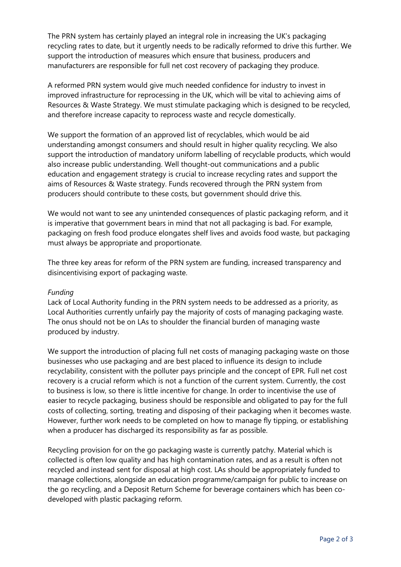The PRN system has certainly played an integral role in increasing the UK's packaging recycling rates to date, but it urgently needs to be radically reformed to drive this further. We support the introduction of measures which ensure that business, producers and manufacturers are responsible for full net cost recovery of packaging they produce.

A reformed PRN system would give much needed confidence for industry to invest in improved infrastructure for reprocessing in the UK, which will be vital to achieving aims of Resources & Waste Strategy. We must stimulate packaging which is designed to be recycled, and therefore increase capacity to reprocess waste and recycle domestically.

We support the formation of an approved list of recyclables, which would be aid understanding amongst consumers and should result in higher quality recycling. We also support the introduction of mandatory uniform labelling of recyclable products, which would also increase public understanding. Well thought-out communications and a public education and engagement strategy is crucial to increase recycling rates and support the aims of Resources & Waste strategy. Funds recovered through the PRN system from producers should contribute to these costs, but government should drive this.

We would not want to see any unintended consequences of plastic packaging reform, and it is imperative that government bears in mind that not all packaging is bad. For example, packaging on fresh food produce elongates shelf lives and avoids food waste, but packaging must always be appropriate and proportionate.

The three key areas for reform of the PRN system are funding, increased transparency and disincentivising export of packaging waste.

#### *Funding*

Lack of Local Authority funding in the PRN system needs to be addressed as a priority, as Local Authorities currently unfairly pay the majority of costs of managing packaging waste. The onus should not be on LAs to shoulder the financial burden of managing waste produced by industry.

We support the introduction of placing full net costs of managing packaging waste on those businesses who use packaging and are best placed to influence its design to include recyclability, consistent with the polluter pays principle and the concept of EPR. Full net cost recovery is a crucial reform which is not a function of the current system. Currently, the cost to business is low, so there is little incentive for change. In order to incentivise the use of easier to recycle packaging, business should be responsible and obligated to pay for the full costs of collecting, sorting, treating and disposing of their packaging when it becomes waste. However, further work needs to be completed on how to manage fly tipping, or establishing when a producer has discharged its responsibility as far as possible.

Recycling provision for on the go packaging waste is currently patchy. Material which is collected is often low quality and has high contamination rates, and as a result is often not recycled and instead sent for disposal at high cost. LAs should be appropriately funded to manage collections, alongside an education programme/campaign for public to increase on the go recycling, and a Deposit Return Scheme for beverage containers which has been codeveloped with plastic packaging reform.